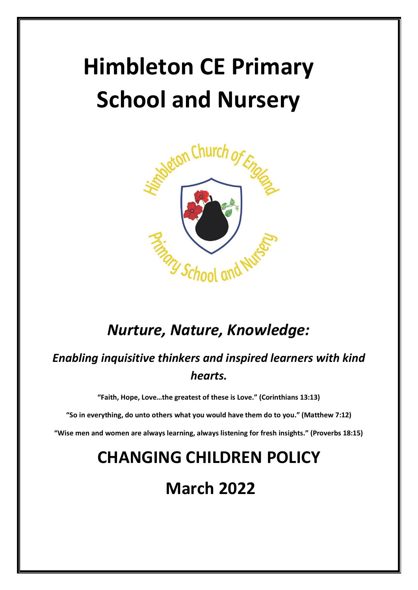# **Himbleton CE Primary School and Nursery**



## *Nurture, Nature, Knowledge:*

### *Enabling inquisitive thinkers and inspired learners with kind hearts.*

**"Faith, Hope, Love…the greatest of these is Love." (Corinthians 13:13)**

**"So in everything, do unto others what you would have them do to you." (Matthew 7:12)**

**"Wise men and women are always learning, always listening for fresh insights." (Proverbs 18:15)**

# **CHANGING CHILDREN POLICY**

# **March 2022**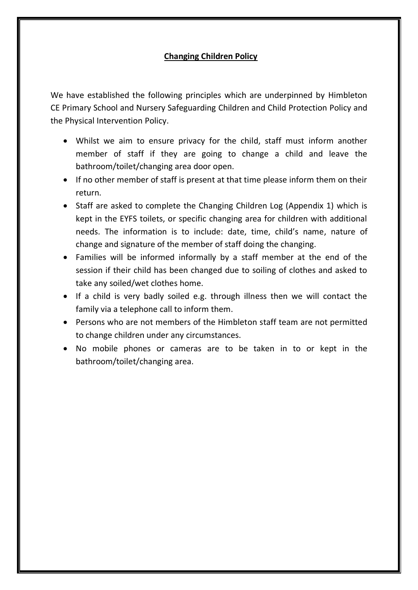#### **Changing Children Policy**

We have established the following principles which are underpinned by Himbleton CE Primary School and Nursery Safeguarding Children and Child Protection Policy and the Physical Intervention Policy.

- Whilst we aim to ensure privacy for the child, staff must inform another member of staff if they are going to change a child and leave the bathroom/toilet/changing area door open.
- If no other member of staff is present at that time please inform them on their return.
- Staff are asked to complete the Changing Children Log (Appendix 1) which is kept in the EYFS toilets, or specific changing area for children with additional needs. The information is to include: date, time, child's name, nature of change and signature of the member of staff doing the changing.
- Families will be informed informally by a staff member at the end of the session if their child has been changed due to soiling of clothes and asked to take any soiled/wet clothes home.
- If a child is very badly soiled e.g. through illness then we will contact the family via a telephone call to inform them.
- Persons who are not members of the Himbleton staff team are not permitted to change children under any circumstances.
- No mobile phones or cameras are to be taken in to or kept in the bathroom/toilet/changing area.